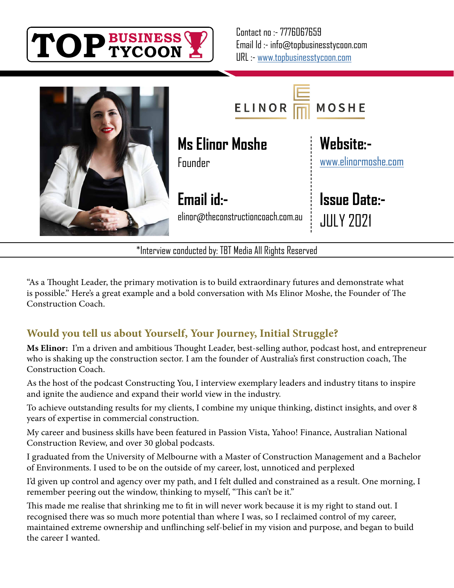



\*Interview conducted by: TBT Media All Rights Reserved

"As a Thought Leader, the primary motivation is to build extraordinary futures and demonstrate what is possible." Here's a great example and a bold conversation with Ms Elinor Moshe, the Founder of The Construction Coach.

### **Would you tell us about Yourself, Your Journey, Initial Struggle?**

**Ms Elinor:** I'm a driven and ambitious Thought Leader, best-selling author, podcast host, and entrepreneur who is shaking up the construction sector. I am the founder of Australia's first construction coach, The Construction Coach.

As the host of the podcast Constructing You, I interview exemplary leaders and industry titans to inspire and ignite the audience and expand their world view in the industry.

To achieve outstanding results for my clients, I combine my unique thinking, distinct insights, and over 8 years of expertise in commercial construction.

My career and business skills have been featured in Passion Vista, Yahoo! Finance, Australian National Construction Review, and over 30 global podcasts.

I graduated from the University of Melbourne with a Master of Construction Management and a Bachelor of Environments. I used to be on the outside of my career, lost, unnoticed and perplexed

I'd given up control and agency over my path, and I felt dulled and constrained as a result. One morning, I remember peering out the window, thinking to myself, "This can't be it."

This made me realise that shrinking me to fit in will never work because it is my right to stand out. I recognised there was so much more potential than where I was, so I reclaimed control of my career, maintained extreme ownership and unflinching self-belief in my vision and purpose, and began to build the career I wanted.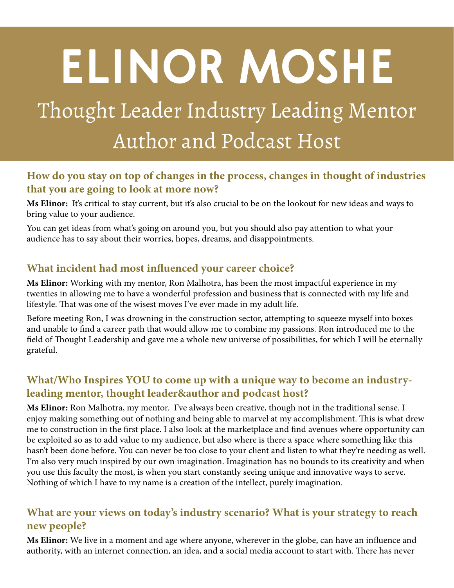# **ELINOR MOSHE**

## Thought Leader Industry Leading Mentor Author and Podcast Host

#### **How do you stay on top of changes in the process, changes in thought of industries that you are going to look at more now?**

**Ms Elinor:** It's critical to stay current, but it's also crucial to be on the lookout for new ideas and ways to bring value to your audience.

You can get ideas from what's going on around you, but you should also pay attention to what your audience has to say about their worries, hopes, dreams, and disappointments.

#### **What incident had most influenced your career choice?**

**Ms Elinor:** Working with my mentor, Ron Malhotra, has been the most impactful experience in my twenties in allowing me to have a wonderful profession and business that is connected with my life and lifestyle. That was one of the wisest moves I've ever made in my adult life.

Before meeting Ron, I was drowning in the construction sector, attempting to squeeze myself into boxes and unable to find a career path that would allow me to combine my passions. Ron introduced me to the field of Thought Leadership and gave me a whole new universe of possibilities, for which I will be eternally grateful.

#### **What/Who Inspires YOU to come up with a unique way to become an industryleading mentor, thought leader&author and podcast host?**

**Ms Elinor:** Ron Malhotra, my mentor. I've always been creative, though not in the traditional sense. I enjoy making something out of nothing and being able to marvel at my accomplishment. This is what drew me to construction in the first place. I also look at the marketplace and find avenues where opportunity can be exploited so as to add value to my audience, but also where is there a space where something like this hasn't been done before. You can never be too close to your client and listen to what they're needing as well. I'm also very much inspired by our own imagination. Imagination has no bounds to its creativity and when you use this faculty the most, is when you start constantly seeing unique and innovative ways to serve. Nothing of which I have to my name is a creation of the intellect, purely imagination.

#### **What are your views on today's industry scenario? What is your strategy to reach new people?**

**Ms Elinor:** We live in a moment and age where anyone, wherever in the globe, can have an influence and authority, with an internet connection, an idea, and a social media account to start with. There has never